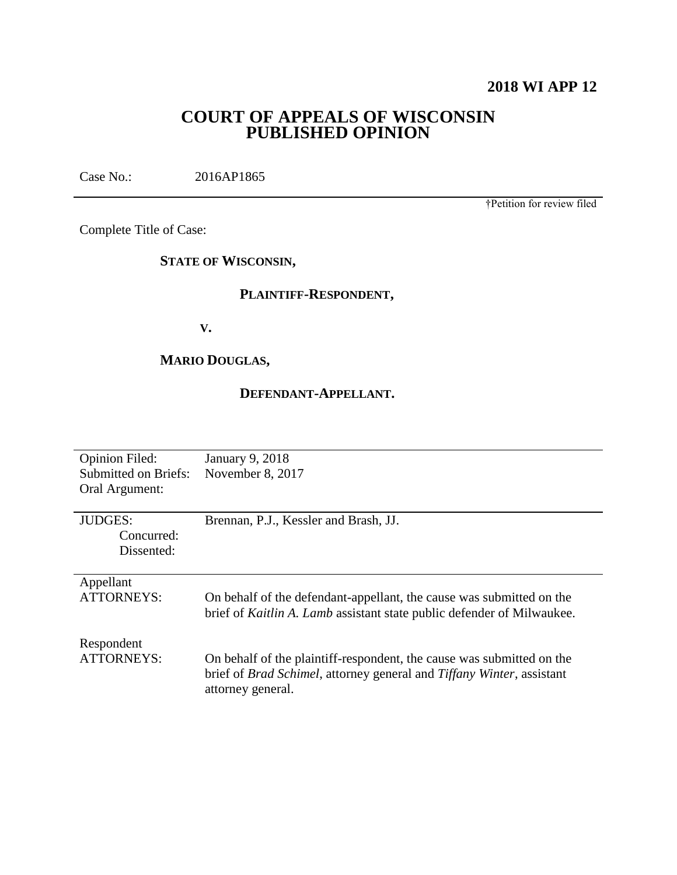# **2018 WI APP 12**

# **COURT OF APPEALS OF WISCONSIN PUBLISHED OPINION**

Case No.: 2016AP1865

†Petition for review filed

Complete Title of Case:

# **STATE OF WISCONSIN,**

# **PLAINTIFF-RESPONDENT,**

**V.**

# **MARIO DOUGLAS,**

# **DEFENDANT-APPELLANT.**

| <b>Opinion Filed:</b>       | <b>January 9, 2018</b>                                                 |
|-----------------------------|------------------------------------------------------------------------|
| <b>Submitted on Briefs:</b> | November 8, 2017                                                       |
| Oral Argument:              |                                                                        |
|                             |                                                                        |
| <b>JUDGES:</b>              | Brennan, P.J., Kessler and Brash, JJ.                                  |
| Concurred:                  |                                                                        |
| Dissented:                  |                                                                        |
|                             |                                                                        |
| Appellant                   |                                                                        |
| <b>ATTORNEYS:</b>           | On behalf of the defendant-appellant, the cause was submitted on the   |
|                             | brief of Kaitlin A. Lamb assistant state public defender of Milwaukee. |
|                             |                                                                        |
| Respondent                  |                                                                        |
| <b>ATTORNEYS:</b>           | On behalf of the plaintiff-respondent, the cause was submitted on the  |
|                             | brief of Brad Schimel, attorney general and Tiffany Winter, assistant  |
|                             | attorney general.                                                      |
|                             |                                                                        |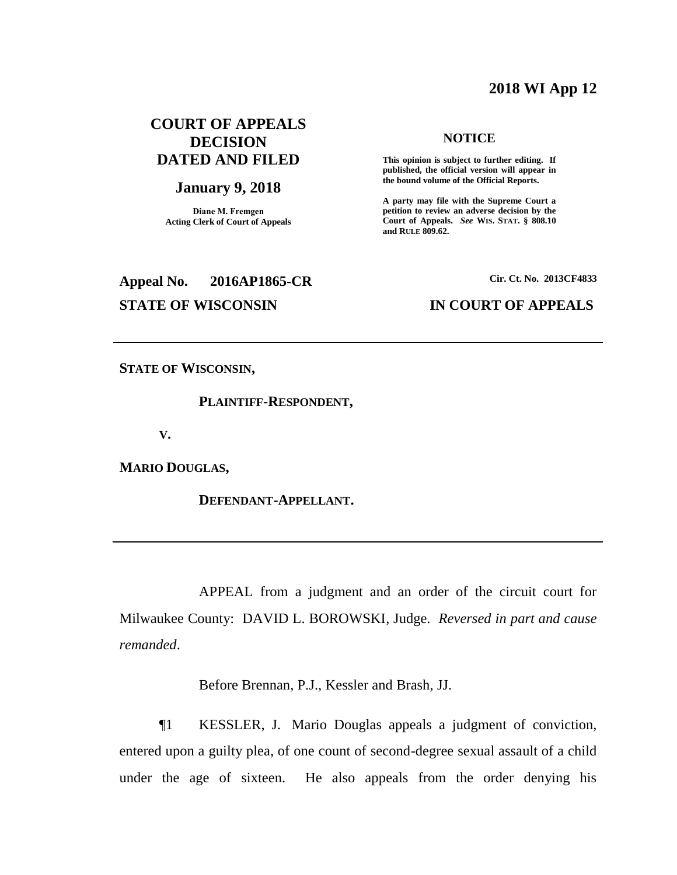## **2018 WI App 12**

# **COURT OF APPEALS DECISION DATED AND FILED**

## **January 9, 2018**

**Diane M. Fremgen Acting Clerk of Court of Appeals**

# **Appeal No. 2016AP1865-CR Cir. Ct. No. 2013CF4833 STATE OF WISCONSIN IN COURT OF APPEALS**

## **NOTICE**

**This opinion is subject to further editing. If published, the official version will appear in the bound volume of the Official Reports.** 

**A party may file with the Supreme Court a petition to review an adverse decision by the Court of Appeals.** *See* **WIS. STAT. § 808.10 and RULE 809.62.** 

**STATE OF WISCONSIN,**

## **PLAINTIFF-RESPONDENT,**

**V.**

**MARIO DOUGLAS,**

**DEFENDANT-APPELLANT.**

APPEAL from a judgment and an order of the circuit court for Milwaukee County: DAVID L. BOROWSKI, Judge. *Reversed in part and cause remanded*.

Before Brennan, P.J., Kessler and Brash, JJ.

¶1 KESSLER, J. Mario Douglas appeals a judgment of conviction, entered upon a guilty plea, of one count of second-degree sexual assault of a child under the age of sixteen. He also appeals from the order denying his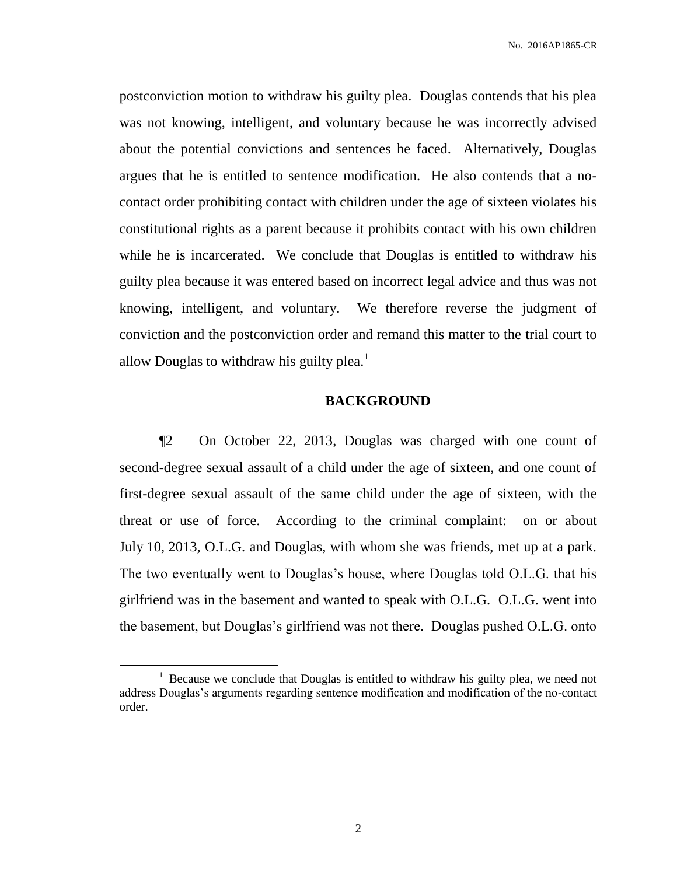No. 2016AP1865-CR

postconviction motion to withdraw his guilty plea. Douglas contends that his plea was not knowing, intelligent, and voluntary because he was incorrectly advised about the potential convictions and sentences he faced. Alternatively, Douglas argues that he is entitled to sentence modification. He also contends that a nocontact order prohibiting contact with children under the age of sixteen violates his constitutional rights as a parent because it prohibits contact with his own children while he is incarcerated. We conclude that Douglas is entitled to withdraw his guilty plea because it was entered based on incorrect legal advice and thus was not knowing, intelligent, and voluntary. We therefore reverse the judgment of conviction and the postconviction order and remand this matter to the trial court to allow Douglas to withdraw his guilty plea.<sup>1</sup>

## **BACKGROUND**

¶2 On October 22, 2013, Douglas was charged with one count of second-degree sexual assault of a child under the age of sixteen, and one count of first-degree sexual assault of the same child under the age of sixteen, with the threat or use of force. According to the criminal complaint: on or about July 10, 2013, O.L.G. and Douglas, with whom she was friends, met up at a park. The two eventually went to Douglas's house, where Douglas told O.L.G. that his girlfriend was in the basement and wanted to speak with O.L.G. O.L.G. went into the basement, but Douglas's girlfriend was not there. Douglas pushed O.L.G. onto

 $\overline{a}$ 

 $1$  Because we conclude that Douglas is entitled to withdraw his guilty plea, we need not address Douglas's arguments regarding sentence modification and modification of the no-contact order.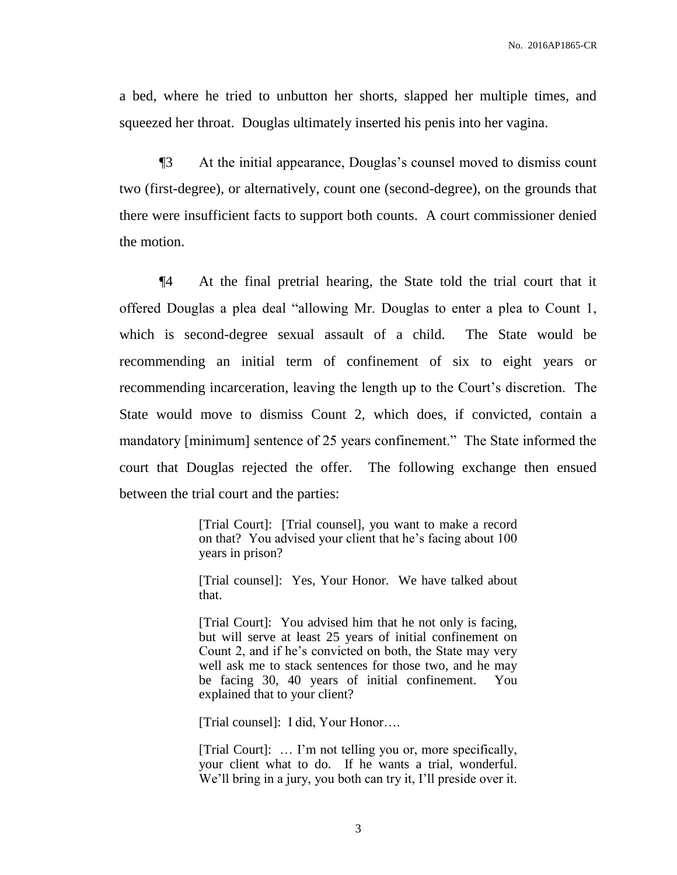a bed, where he tried to unbutton her shorts, slapped her multiple times, and squeezed her throat. Douglas ultimately inserted his penis into her vagina.

¶3 At the initial appearance, Douglas's counsel moved to dismiss count two (first-degree), or alternatively, count one (second-degree), on the grounds that there were insufficient facts to support both counts. A court commissioner denied the motion.

¶4 At the final pretrial hearing, the State told the trial court that it offered Douglas a plea deal "allowing Mr. Douglas to enter a plea to Count 1, which is second-degree sexual assault of a child. The State would be recommending an initial term of confinement of six to eight years or recommending incarceration, leaving the length up to the Court's discretion. The State would move to dismiss Count 2, which does, if convicted, contain a mandatory [minimum] sentence of 25 years confinement." The State informed the court that Douglas rejected the offer. The following exchange then ensued between the trial court and the parties:

> [Trial Court]: [Trial counsel], you want to make a record on that? You advised your client that he's facing about 100 years in prison?

> [Trial counsel]: Yes, Your Honor. We have talked about that.

> [Trial Court]: You advised him that he not only is facing, but will serve at least 25 years of initial confinement on Count 2, and if he's convicted on both, the State may very well ask me to stack sentences for those two, and he may be facing 30, 40 years of initial confinement. You explained that to your client?

[Trial counsel]: I did, Your Honor....

[Trial Court]: … I'm not telling you or, more specifically, your client what to do. If he wants a trial, wonderful. We'll bring in a jury, you both can try it, I'll preside over it.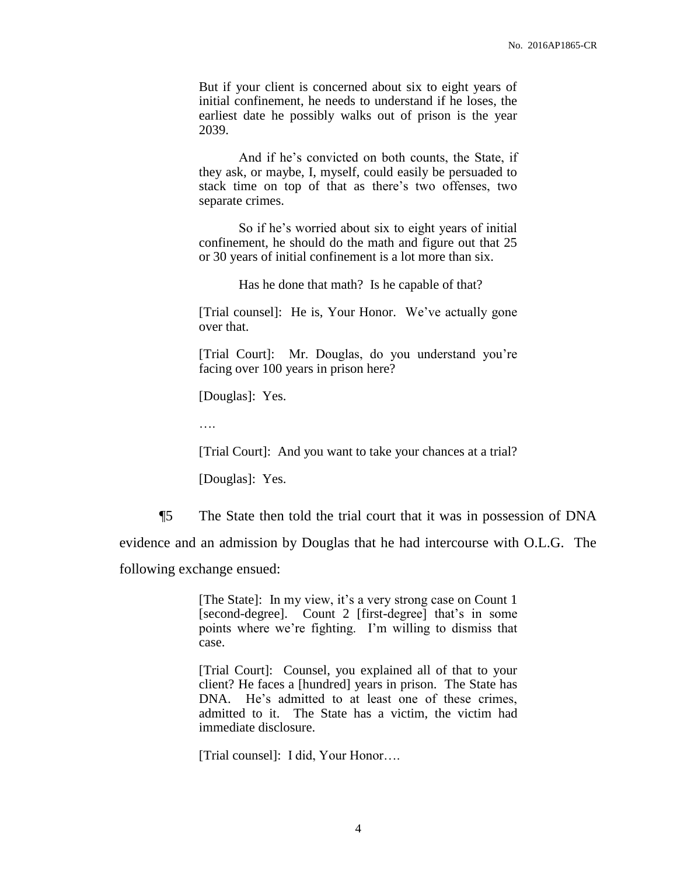But if your client is concerned about six to eight years of initial confinement, he needs to understand if he loses, the earliest date he possibly walks out of prison is the year 2039.

And if he's convicted on both counts, the State, if they ask, or maybe, I, myself, could easily be persuaded to stack time on top of that as there's two offenses, two separate crimes.

So if he's worried about six to eight years of initial confinement, he should do the math and figure out that 25 or 30 years of initial confinement is a lot more than six.

Has he done that math? Is he capable of that?

[Trial counsel]: He is, Your Honor. We've actually gone over that.

[Trial Court]: Mr. Douglas, do you understand you're facing over 100 years in prison here?

[Douglas]: Yes.

….

[Trial Court]: And you want to take your chances at a trial?

[Douglas]: Yes.

¶5 The State then told the trial court that it was in possession of DNA evidence and an admission by Douglas that he had intercourse with O.L.G. The

following exchange ensued:

[The State]: In my view, it's a very strong case on Count 1 [second-degree]. Count 2 [first-degree] that's in some points where we're fighting. I'm willing to dismiss that case.

[Trial Court]: Counsel, you explained all of that to your client? He faces a [hundred] years in prison. The State has DNA. He's admitted to at least one of these crimes, admitted to it. The State has a victim, the victim had immediate disclosure.

[Trial counsel]: I did, Your Honor….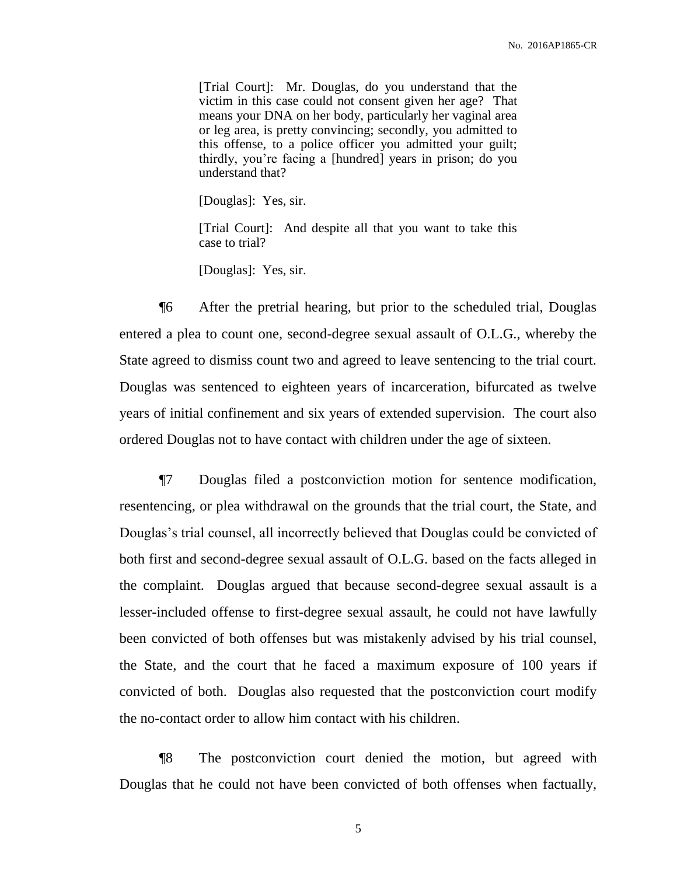[Trial Court]: Mr. Douglas, do you understand that the victim in this case could not consent given her age? That means your DNA on her body, particularly her vaginal area or leg area, is pretty convincing; secondly, you admitted to this offense, to a police officer you admitted your guilt; thirdly, you're facing a [hundred] years in prison; do you understand that?

[Douglas]: Yes, sir.

[Trial Court]: And despite all that you want to take this case to trial?

[Douglas]: Yes, sir.

¶6 After the pretrial hearing, but prior to the scheduled trial, Douglas entered a plea to count one, second-degree sexual assault of O.L.G., whereby the State agreed to dismiss count two and agreed to leave sentencing to the trial court. Douglas was sentenced to eighteen years of incarceration, bifurcated as twelve years of initial confinement and six years of extended supervision. The court also ordered Douglas not to have contact with children under the age of sixteen.

¶7 Douglas filed a postconviction motion for sentence modification, resentencing, or plea withdrawal on the grounds that the trial court, the State, and Douglas's trial counsel, all incorrectly believed that Douglas could be convicted of both first and second-degree sexual assault of O.L.G. based on the facts alleged in the complaint. Douglas argued that because second-degree sexual assault is a lesser-included offense to first-degree sexual assault, he could not have lawfully been convicted of both offenses but was mistakenly advised by his trial counsel, the State, and the court that he faced a maximum exposure of 100 years if convicted of both. Douglas also requested that the postconviction court modify the no-contact order to allow him contact with his children.

¶8 The postconviction court denied the motion, but agreed with Douglas that he could not have been convicted of both offenses when factually,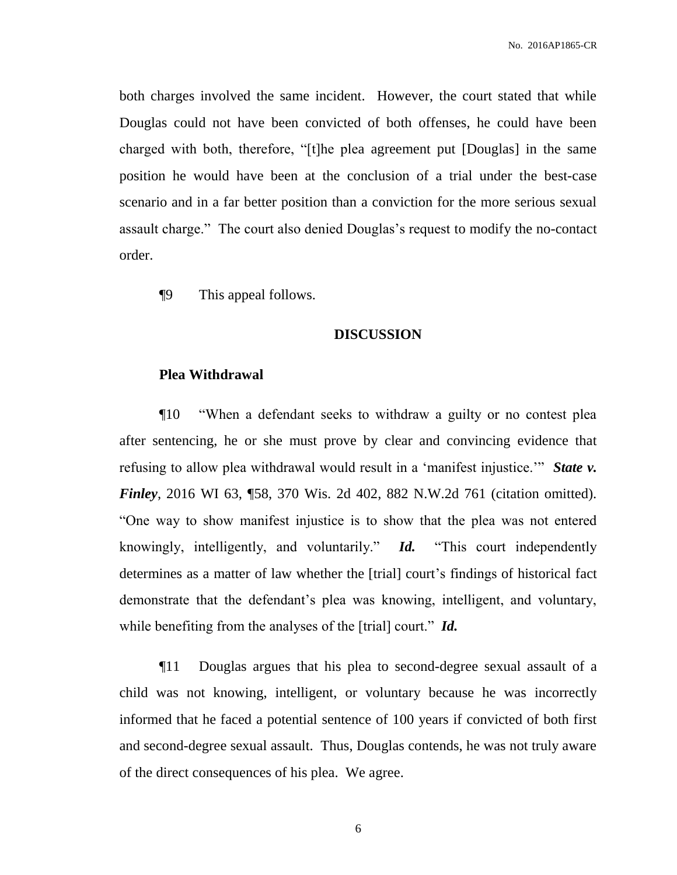both charges involved the same incident. However, the court stated that while Douglas could not have been convicted of both offenses, he could have been charged with both, therefore, "[t]he plea agreement put [Douglas] in the same position he would have been at the conclusion of a trial under the best-case scenario and in a far better position than a conviction for the more serious sexual assault charge." The court also denied Douglas's request to modify the no-contact order.

¶9 This appeal follows.

## **DISCUSSION**

## **Plea Withdrawal**

¶10 "When a defendant seeks to withdraw a guilty or no contest plea after sentencing, he or she must prove by clear and convincing evidence that refusing to allow plea withdrawal would result in a 'manifest injustice.'" *State v. Finley*, 2016 WI 63, ¶58, 370 Wis. 2d 402, 882 N.W.2d 761 (citation omitted). "One way to show manifest injustice is to show that the plea was not entered knowingly, intelligently, and voluntarily." *Id.* "This court independently determines as a matter of law whether the [trial] court's findings of historical fact demonstrate that the defendant's plea was knowing, intelligent, and voluntary, while benefiting from the analyses of the [trial] court." *Id.*

¶11 Douglas argues that his plea to second-degree sexual assault of a child was not knowing, intelligent, or voluntary because he was incorrectly informed that he faced a potential sentence of 100 years if convicted of both first and second-degree sexual assault. Thus, Douglas contends, he was not truly aware of the direct consequences of his plea. We agree.

6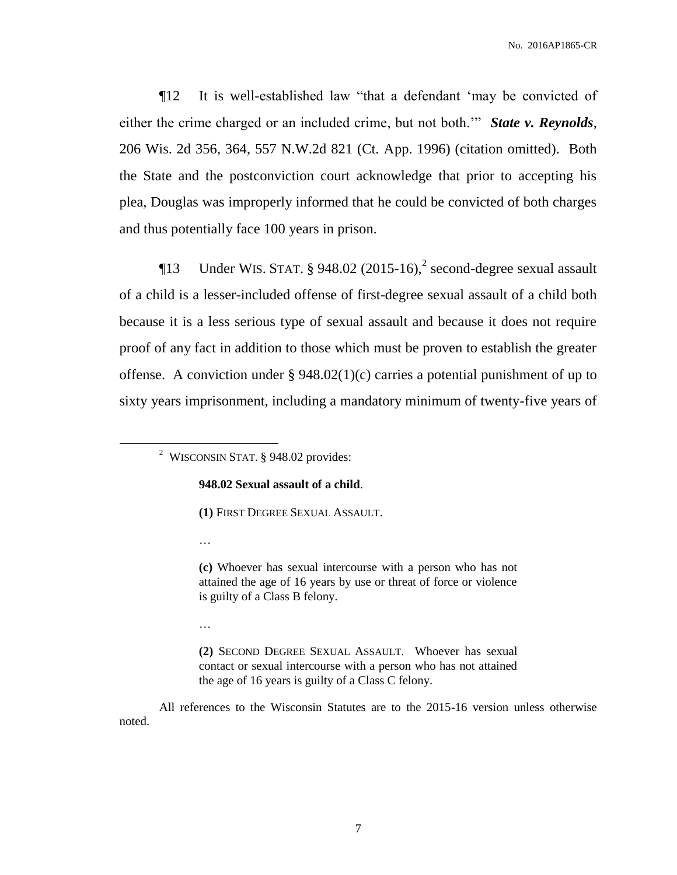¶12 It is well-established law "that a defendant 'may be convicted of either the crime charged or an included crime, but not both.'" *State v. Reynolds*, 206 Wis. 2d 356, 364, 557 N.W.2d 821 (Ct. App. 1996) (citation omitted). Both the State and the postconviction court acknowledge that prior to accepting his plea, Douglas was improperly informed that he could be convicted of both charges and thus potentially face 100 years in prison.

**The Under WIS. STAT.** § 948.02  $(2015-16)$ , <sup>2</sup> second-degree sexual assault of a child is a lesser-included offense of first-degree sexual assault of a child both because it is a less serious type of sexual assault and because it does not require proof of any fact in addition to those which must be proven to establish the greater offense. A conviction under  $\S 948.02(1)(c)$  carries a potential punishment of up to sixty years imprisonment, including a mandatory minimum of twenty-five years of

### **948.02 Sexual assault of a child**.

**(1)** FIRST DEGREE SEXUAL ASSAULT.

…

 $\overline{a}$ 

**(c)** Whoever has sexual intercourse with a person who has not attained the age of 16 years by use or threat of force or violence is guilty of a Class B felony.

…

**(2)** SECOND DEGREE SEXUAL ASSAULT. Whoever has sexual contact or sexual intercourse with a person who has not attained the age of 16 years is guilty of a Class C felony.

All references to the Wisconsin Statutes are to the 2015-16 version unless otherwise noted.

<sup>&</sup>lt;sup>2</sup> WISCONSIN STAT.  $§$  948.02 provides: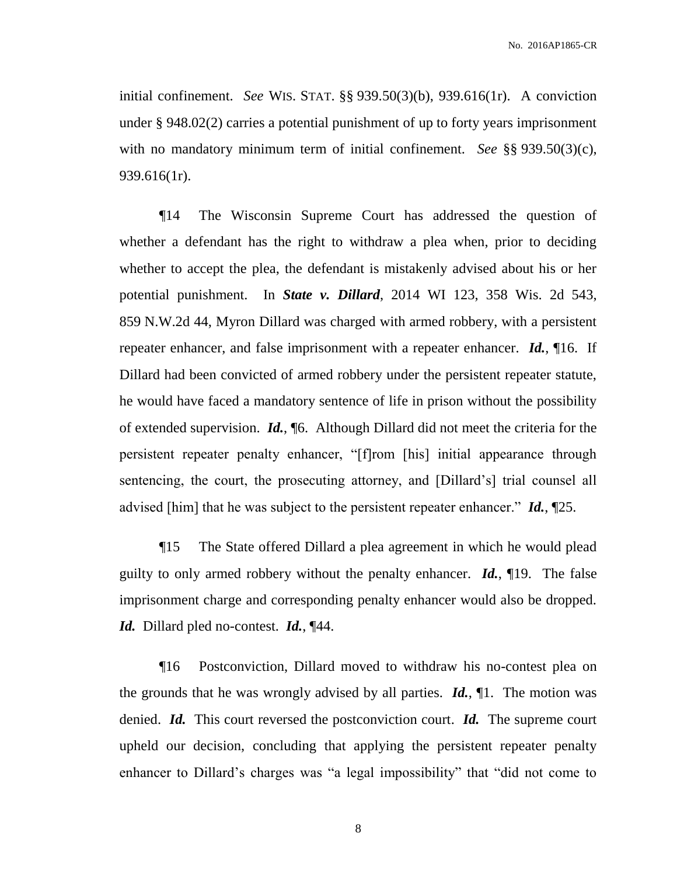initial confinement. *See* WIS. STAT. §§ 939.50(3)(b), 939.616(1r). A conviction under § 948.02(2) carries a potential punishment of up to forty years imprisonment with no mandatory minimum term of initial confinement. *See* §§ 939.50(3)(c), 939.616(1r).

¶14 The Wisconsin Supreme Court has addressed the question of whether a defendant has the right to withdraw a plea when, prior to deciding whether to accept the plea, the defendant is mistakenly advised about his or her potential punishment. In *State v. Dillard*, 2014 WI 123, 358 Wis. 2d 543, 859 N.W.2d 44, Myron Dillard was charged with armed robbery, with a persistent repeater enhancer, and false imprisonment with a repeater enhancer. *Id.*, ¶16. If Dillard had been convicted of armed robbery under the persistent repeater statute, he would have faced a mandatory sentence of life in prison without the possibility of extended supervision. *Id.*, ¶6. Although Dillard did not meet the criteria for the persistent repeater penalty enhancer, "[f]rom [his] initial appearance through sentencing, the court, the prosecuting attorney, and [Dillard's] trial counsel all advised [him] that he was subject to the persistent repeater enhancer." *Id.*, ¶25.

¶15 The State offered Dillard a plea agreement in which he would plead guilty to only armed robbery without the penalty enhancer. *Id.*, ¶19. The false imprisonment charge and corresponding penalty enhancer would also be dropped. *Id.* Dillard pled no-contest. *Id.*, ¶44.

¶16 Postconviction, Dillard moved to withdraw his no-contest plea on the grounds that he was wrongly advised by all parties. *Id.*, ¶1. The motion was denied. *Id.* This court reversed the postconviction court. *Id.* The supreme court upheld our decision, concluding that applying the persistent repeater penalty enhancer to Dillard's charges was "a legal impossibility" that "did not come to

8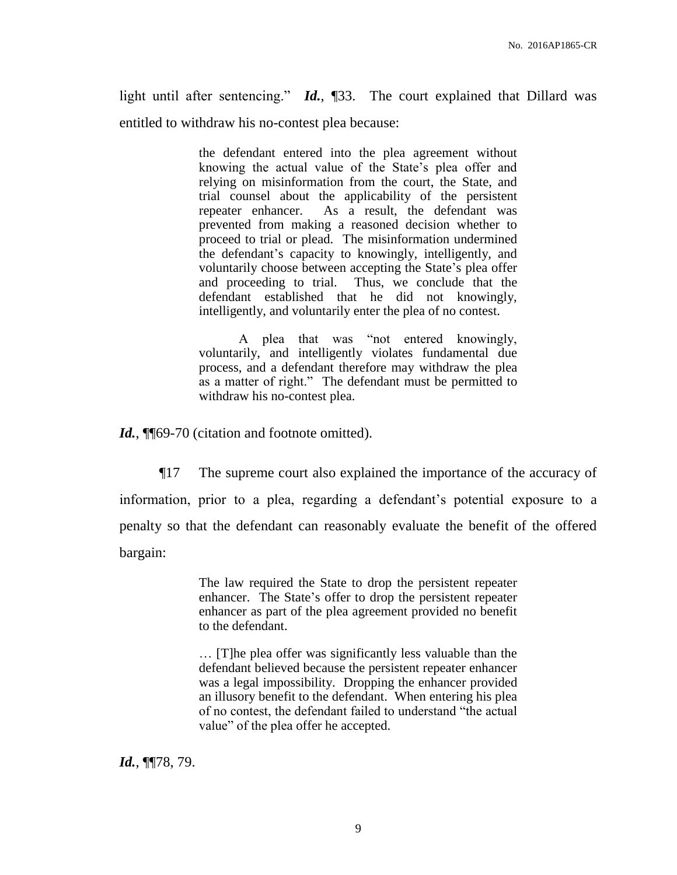light until after sentencing." *Id.*, ¶33. The court explained that Dillard was entitled to withdraw his no-contest plea because:

> the defendant entered into the plea agreement without knowing the actual value of the State's plea offer and relying on misinformation from the court, the State, and trial counsel about the applicability of the persistent repeater enhancer. As a result, the defendant was prevented from making a reasoned decision whether to proceed to trial or plead. The misinformation undermined the defendant's capacity to knowingly, intelligently, and voluntarily choose between accepting the State's plea offer and proceeding to trial. Thus, we conclude that the defendant established that he did not knowingly, intelligently, and voluntarily enter the plea of no contest.

> A plea that was "not entered knowingly, voluntarily, and intelligently violates fundamental due process, and a defendant therefore may withdraw the plea as a matter of right." The defendant must be permitted to withdraw his no-contest plea.

Id., ¶¶69-70 (citation and footnote omitted).

¶17 The supreme court also explained the importance of the accuracy of information, prior to a plea, regarding a defendant's potential exposure to a penalty so that the defendant can reasonably evaluate the benefit of the offered bargain:

> The law required the State to drop the persistent repeater enhancer. The State's offer to drop the persistent repeater enhancer as part of the plea agreement provided no benefit to the defendant.

> … [T]he plea offer was significantly less valuable than the defendant believed because the persistent repeater enhancer was a legal impossibility. Dropping the enhancer provided an illusory benefit to the defendant. When entering his plea of no contest, the defendant failed to understand "the actual value" of the plea offer he accepted.

*Id.*, ¶¶78, 79.